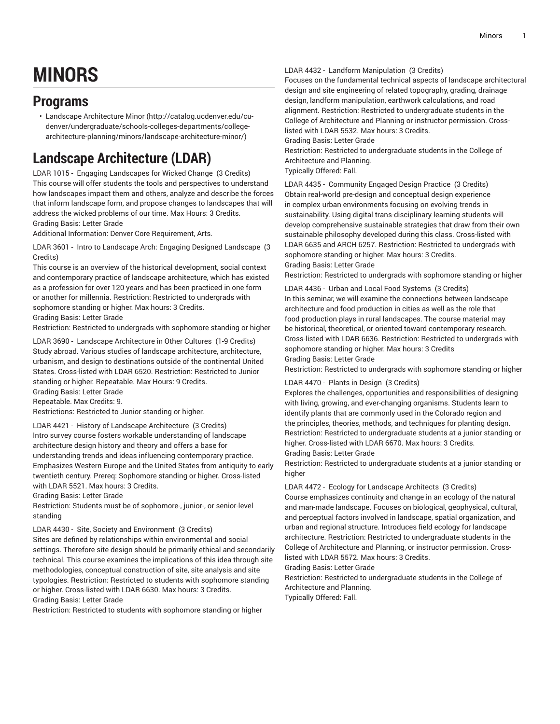# **MINORS**

# **Programs**

• Landscape [Architecture](http://catalog.ucdenver.edu/cu-denver/undergraduate/schools-colleges-departments/college-architecture-planning/minors/landscape-architecture-minor/) Minor ([http://catalog.ucdenver.edu/cu](http://catalog.ucdenver.edu/cu-denver/undergraduate/schools-colleges-departments/college-architecture-planning/minors/landscape-architecture-minor/)[denver/undergraduate/schools-colleges-departments/college](http://catalog.ucdenver.edu/cu-denver/undergraduate/schools-colleges-departments/college-architecture-planning/minors/landscape-architecture-minor/)[architecture-planning/minors/landscape-architecture-minor/](http://catalog.ucdenver.edu/cu-denver/undergraduate/schools-colleges-departments/college-architecture-planning/minors/landscape-architecture-minor/))

# **Landscape Architecture (LDAR)**

LDAR 1015 - Engaging Landscapes for Wicked Change (3 Credits) This course will offer students the tools and perspectives to understand how landscapes impact them and others, analyze and describe the forces that inform landscape form, and propose changes to landscapes that will address the wicked problems of our time. Max Hours: 3 Credits. Grading Basis: Letter Grade

Additional Information: Denver Core Requirement, Arts.

LDAR 3601 - Intro to Landscape Arch: Engaging Designed Landscape (3 Credits)

This course is an overview of the historical development, social context and contemporary practice of landscape architecture, which has existed as a profession for over 120 years and has been practiced in one form or another for millennia. Restriction: Restricted to undergrads with sophomore standing or higher. Max hours: 3 Credits. Grading Basis: Letter Grade

Restriction: Restricted to undergrads with sophomore standing or higher

LDAR 3690 - Landscape Architecture in Other Cultures (1-9 Credits) Study abroad. Various studies of landscape architecture, architecture, urbanism, and design to destinations outside of the continental United States. Cross-listed with LDAR 6520. Restriction: Restricted to Junior standing or higher. Repeatable. Max Hours: 9 Credits.

Grading Basis: Letter Grade

Repeatable. Max Credits: 9.

Restrictions: Restricted to Junior standing or higher.

LDAR 4421 - History of Landscape Architecture (3 Credits) Intro survey course fosters workable understanding of landscape architecture design history and theory and offers a base for understanding trends and ideas influencing contemporary practice. Emphasizes Western Europe and the United States from antiquity to early twentieth century. Prereq: Sophomore standing or higher. Cross-listed with LDAR 5521. Max hours: 3 Credits.

Grading Basis: Letter Grade

Restriction: Students must be of sophomore-, junior-, or senior-level standing

LDAR 4430 - Site, Society and Environment (3 Credits)

Sites are defined by relationships within environmental and social settings. Therefore site design should be primarily ethical and secondarily technical. This course examines the implications of this idea through site methodologies, conceptual construction of site, site analysis and site typologies. Restriction: Restricted to students with sophomore standing or higher. Cross-listed with LDAR 6630. Max hours: 3 Credits. Grading Basis: Letter Grade

Restriction: Restricted to students with sophomore standing or higher

# LDAR 4432 - Landform Manipulation (3 Credits)

Focuses on the fundamental technical aspects of landscape architectural design and site engineering of related topography, grading, drainage design, landform manipulation, earthwork calculations, and road alignment. Restriction: Restricted to undergraduate students in the College of Architecture and Planning or instructor permission. Crosslisted with LDAR 5532. Max hours: 3 Credits.

Grading Basis: Letter Grade

Restriction: Restricted to undergraduate students in the College of Architecture and Planning.

Typically Offered: Fall.

LDAR 4435 - Community Engaged Design Practice (3 Credits) Obtain real-world pre-design and conceptual design experience in complex urban environments focusing on evolving trends in sustainability. Using digital trans-disciplinary learning students will develop comprehensive sustainable strategies that draw from their own sustainable philosophy developed during this class. Cross-listed with LDAR 6635 and ARCH 6257. Restriction: Restricted to undergrads with sophomore standing or higher. Max hours: 3 Credits. Grading Basis: Letter Grade

Restriction: Restricted to undergrads with sophomore standing or higher

LDAR 4436 - Urban and Local Food Systems (3 Credits) In this seminar, we will examine the connections between landscape architecture and food production in cities as well as the role that food production plays in rural landscapes. The course material may be historical, theoretical, or oriented toward contemporary research. Cross-listed with LDAR 6636. Restriction: Restricted to undergrads with sophomore standing or higher. Max hours: 3 Credits Grading Basis: Letter Grade

Restriction: Restricted to undergrads with sophomore standing or higher

# LDAR 4470 - Plants in Design (3 Credits)

Explores the challenges, opportunities and responsibilities of designing with living, growing, and ever-changing organisms. Students learn to identify plants that are commonly used in the Colorado region and the principles, theories, methods, and techniques for planting design. Restriction: Restricted to undergraduate students at a junior standing or higher. Cross-listed with LDAR 6670. Max hours: 3 Credits. Grading Basis: Letter Grade

Restriction: Restricted to undergraduate students at a junior standing or higher

LDAR 4472 - Ecology for Landscape Architects (3 Credits)

Course emphasizes continuity and change in an ecology of the natural and man-made landscape. Focuses on biological, geophysical, cultural, and perceptual factors involved in landscape, spatial organization, and urban and regional structure. Introduces field ecology for landscape architecture. Restriction: Restricted to undergraduate students in the College of Architecture and Planning, or instructor permission. Crosslisted with LDAR 5572. Max hours: 3 Credits.

Grading Basis: Letter Grade

Restriction: Restricted to undergraduate students in the College of Architecture and Planning.

Typically Offered: Fall.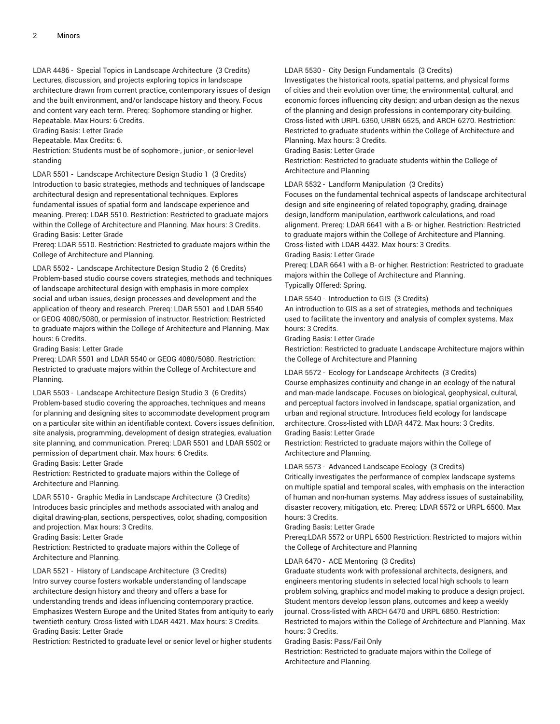LDAR 4486 - Special Topics in Landscape Architecture (3 Credits) Lectures, discussion, and projects exploring topics in landscape architecture drawn from current practice, contemporary issues of design and the built environment, and/or landscape history and theory. Focus and content vary each term. Prereq: Sophomore standing or higher. Repeatable. Max Hours: 6 Credits.

Grading Basis: Letter Grade

Repeatable. Max Credits: 6.

Restriction: Students must be of sophomore-, junior-, or senior-level standing

LDAR 5501 - Landscape Architecture Design Studio 1 (3 Credits) Introduction to basic strategies, methods and techniques of landscape architectural design and representational techniques. Explores fundamental issues of spatial form and landscape experience and meaning. Prereq: LDAR 5510. Restriction: Restricted to graduate majors within the College of Architecture and Planning. Max hours: 3 Credits. Grading Basis: Letter Grade

Prereq: LDAR 5510. Restriction: Restricted to graduate majors within the College of Architecture and Planning.

LDAR 5502 - Landscape Architecture Design Studio 2 (6 Credits) Problem-based studio course covers strategies, methods and techniques of landscape architectural design with emphasis in more complex social and urban issues, design processes and development and the application of theory and research. Prereq: LDAR 5501 and LDAR 5540 or GEOG 4080/5080, or permission of instructor. Restriction: Restricted to graduate majors within the College of Architecture and Planning. Max hours: 6 Credits.

Grading Basis: Letter Grade

Prereq: LDAR 5501 and LDAR 5540 or GEOG 4080/5080. Restriction: Restricted to graduate majors within the College of Architecture and Planning.

LDAR 5503 - Landscape Architecture Design Studio 3 (6 Credits) Problem-based studio covering the approaches, techniques and means for planning and designing sites to accommodate development program on a particular site within an identifiable context. Covers issues definition, site analysis, programming, development of design strategies, evaluation site planning, and communication. Prereq: LDAR 5501 and LDAR 5502 or permission of department chair. Max hours: 6 Credits.

Grading Basis: Letter Grade

Restriction: Restricted to graduate majors within the College of Architecture and Planning.

LDAR 5510 - Graphic Media in Landscape Architecture (3 Credits) Introduces basic principles and methods associated with analog and digital drawing-plan, sections, perspectives, color, shading, composition and projection. Max hours: 3 Credits.

Grading Basis: Letter Grade

Restriction: Restricted to graduate majors within the College of Architecture and Planning.

LDAR 5521 - History of Landscape Architecture (3 Credits) Intro survey course fosters workable understanding of landscape architecture design history and theory and offers a base for understanding trends and ideas influencing contemporary practice. Emphasizes Western Europe and the United States from antiquity to early twentieth century. Cross-listed with LDAR 4421. Max hours: 3 Credits. Grading Basis: Letter Grade

Restriction: Restricted to graduate level or senior level or higher students

# LDAR 5530 - City Design Fundamentals (3 Credits)

Investigates the historical roots, spatial patterns, and physical forms of cities and their evolution over time; the environmental, cultural, and economic forces influencing city design; and urban design as the nexus of the planning and design professions in contemporary city-building. Cross-listed with URPL 6350, URBN 6525, and ARCH 6270. Restriction: Restricted to graduate students within the College of Architecture and Planning. Max hours: 3 Credits.

Grading Basis: Letter Grade

Restriction: Restricted to graduate students within the College of Architecture and Planning

### LDAR 5532 - Landform Manipulation (3 Credits)

Focuses on the fundamental technical aspects of landscape architectural design and site engineering of related topography, grading, drainage design, landform manipulation, earthwork calculations, and road alignment. Prereq: LDAR 6641 with a B- or higher. Restriction: Restricted to graduate majors within the College of Architecture and Planning. Cross-listed with LDAR 4432. Max hours: 3 Credits.

# Grading Basis: Letter Grade

Prereq: LDAR 6641 with a B- or higher. Restriction: Restricted to graduate majors within the College of Architecture and Planning. Typically Offered: Spring.

# LDAR 5540 - Introduction to GIS (3 Credits)

An introduction to GIS as a set of strategies, methods and techniques used to facilitate the inventory and analysis of complex systems. Max hours: 3 Credits.

Grading Basis: Letter Grade

Restriction: Restricted to graduate Landscape Architecture majors within the College of Architecture and Planning

# LDAR 5572 - Ecology for Landscape Architects (3 Credits)

Course emphasizes continuity and change in an ecology of the natural and man-made landscape. Focuses on biological, geophysical, cultural, and perceptual factors involved in landscape, spatial organization, and urban and regional structure. Introduces field ecology for landscape architecture. Cross-listed with LDAR 4472. Max hours: 3 Credits. Grading Basis: Letter Grade

Restriction: Restricted to graduate majors within the College of Architecture and Planning.

# LDAR 5573 - Advanced Landscape Ecology (3 Credits)

Critically investigates the performance of complex landscape systems on multiple spatial and temporal scales, with emphasis on the interaction of human and non-human systems. May address issues of sustainability, disaster recovery, mitigation, etc. Prereq: LDAR 5572 or URPL 6500. Max hours: 3 Credits.

# Grading Basis: Letter Grade

Prereq:LDAR 5572 or URPL 6500 Restriction: Restricted to majors within the College of Architecture and Planning

# LDAR 6470 - ACE Mentoring (3 Credits)

Graduate students work with professional architects, designers, and engineers mentoring students in selected local high schools to learn problem solving, graphics and model making to produce a design project. Student mentors develop lesson plans, outcomes and keep a weekly journal. Cross-listed with ARCH 6470 and URPL 6850. Restriction: Restricted to majors within the College of Architecture and Planning. Max hours: 3 Credits.

# Grading Basis: Pass/Fail Only

Restriction: Restricted to graduate majors within the College of Architecture and Planning.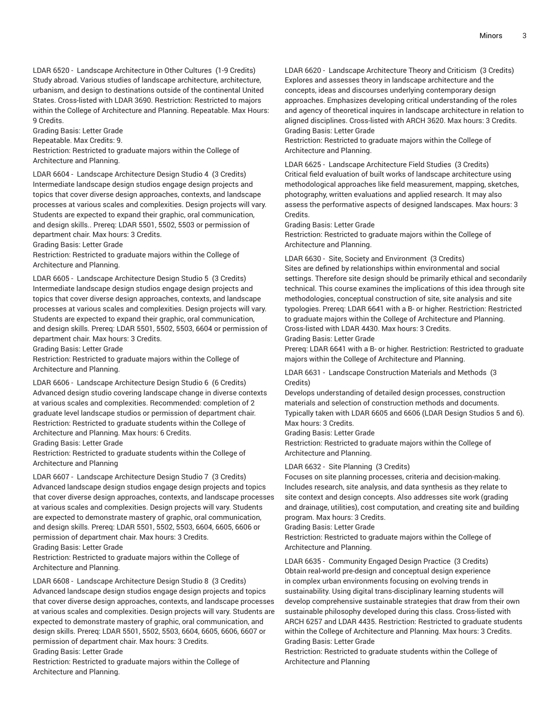LDAR 6520 - Landscape Architecture in Other Cultures (1-9 Credits) Study abroad. Various studies of landscape architecture, architecture, urbanism, and design to destinations outside of the continental United States. Cross-listed with LDAR 3690. Restriction: Restricted to majors within the College of Architecture and Planning. Repeatable. Max Hours: 9 Credits.

Grading Basis: Letter Grade

Repeatable. Max Credits: 9.

Restriction: Restricted to graduate majors within the College of Architecture and Planning.

LDAR 6604 - Landscape Architecture Design Studio 4 (3 Credits) Intermediate landscape design studios engage design projects and topics that cover diverse design approaches, contexts, and landscape processes at various scales and complexities. Design projects will vary. Students are expected to expand their graphic, oral communication, and design skills.. Prereq: LDAR 5501, 5502, 5503 or permission of department chair. Max hours: 3 Credits.

Grading Basis: Letter Grade

Restriction: Restricted to graduate majors within the College of Architecture and Planning.

LDAR 6605 - Landscape Architecture Design Studio 5 (3 Credits) Intermediate landscape design studios engage design projects and topics that cover diverse design approaches, contexts, and landscape processes at various scales and complexities. Design projects will vary. Students are expected to expand their graphic, oral communication, and design skills. Prereq: LDAR 5501, 5502, 5503, 6604 or permission of department chair. Max hours: 3 Credits.

Grading Basis: Letter Grade

Restriction: Restricted to graduate majors within the College of Architecture and Planning.

LDAR 6606 - Landscape Architecture Design Studio 6 (6 Credits) Advanced design studio covering landscape change in diverse contexts at various scales and complexities. Recommended: completion of 2 graduate level landscape studios or permission of department chair. Restriction: Restricted to graduate students within the College of Architecture and Planning. Max hours: 6 Credits.

Grading Basis: Letter Grade

Restriction: Restricted to graduate students within the College of Architecture and Planning

LDAR 6607 - Landscape Architecture Design Studio 7 (3 Credits) Advanced landscape design studios engage design projects and topics that cover diverse design approaches, contexts, and landscape processes at various scales and complexities. Design projects will vary. Students are expected to demonstrate mastery of graphic, oral communication, and design skills. Prereq: LDAR 5501, 5502, 5503, 6604, 6605, 6606 or permission of department chair. Max hours: 3 Credits.

Grading Basis: Letter Grade

Restriction: Restricted to graduate majors within the College of Architecture and Planning.

LDAR 6608 - Landscape Architecture Design Studio 8 (3 Credits) Advanced landscape design studios engage design projects and topics that cover diverse design approaches, contexts, and landscape processes at various scales and complexities. Design projects will vary. Students are expected to demonstrate mastery of graphic, oral communication, and design skills. Prereq: LDAR 5501, 5502, 5503, 6604, 6605, 6606, 6607 or permission of department chair. Max hours: 3 Credits.

Grading Basis: Letter Grade

Restriction: Restricted to graduate majors within the College of Architecture and Planning.

LDAR 6620 - Landscape Architecture Theory and Criticism (3 Credits) Explores and assesses theory in landscape architecture and the concepts, ideas and discourses underlying contemporary design approaches. Emphasizes developing critical understanding of the roles and agency of theoretical inquires in landscape architecture in relation to aligned disciplines. Cross-listed with ARCH 3620. Max hours: 3 Credits. Grading Basis: Letter Grade

Restriction: Restricted to graduate majors within the College of Architecture and Planning.

LDAR 6625 - Landscape Architecture Field Studies (3 Credits) Critical field evaluation of built works of landscape architecture using methodological approaches like field measurement, mapping, sketches, photography, written evaluations and applied research. It may also assess the performative aspects of designed landscapes. Max hours: 3 Credits.

Grading Basis: Letter Grade

Restriction: Restricted to graduate majors within the College of Architecture and Planning.

LDAR 6630 - Site, Society and Environment (3 Credits)

Sites are defined by relationships within environmental and social settings. Therefore site design should be primarily ethical and secondarily technical. This course examines the implications of this idea through site methodologies, conceptual construction of site, site analysis and site typologies. Prereq: LDAR 6641 with a B- or higher. Restriction: Restricted to graduate majors within the College of Architecture and Planning. Cross-listed with LDAR 4430. Max hours: 3 Credits. Grading Basis: Letter Grade

Prereq: LDAR 6641 with a B- or higher. Restriction: Restricted to graduate majors within the College of Architecture and Planning.

LDAR 6631 - Landscape Construction Materials and Methods (3 Credits)

Develops understanding of detailed design processes, construction materials and selection of construction methods and documents. Typically taken with LDAR 6605 and 6606 (LDAR Design Studios 5 and 6). Max hours: 3 Credits.

Grading Basis: Letter Grade

Restriction: Restricted to graduate majors within the College of Architecture and Planning.

LDAR 6632 - Site Planning (3 Credits)

Focuses on site planning processes, criteria and decision-making. Includes research, site analysis, and data synthesis as they relate to site context and design concepts. Also addresses site work (grading and drainage, utilities), cost computation, and creating site and building program. Max hours: 3 Credits.

Grading Basis: Letter Grade

Restriction: Restricted to graduate majors within the College of Architecture and Planning.

LDAR 6635 - Community Engaged Design Practice (3 Credits) Obtain real-world pre-design and conceptual design experience in complex urban environments focusing on evolving trends in sustainability. Using digital trans-disciplinary learning students will develop comprehensive sustainable strategies that draw from their own sustainable philosophy developed during this class. Cross-listed with ARCH 6257 and LDAR 4435. Restriction: Restricted to graduate students within the College of Architecture and Planning. Max hours: 3 Credits. Grading Basis: Letter Grade

Restriction: Restricted to graduate students within the College of Architecture and Planning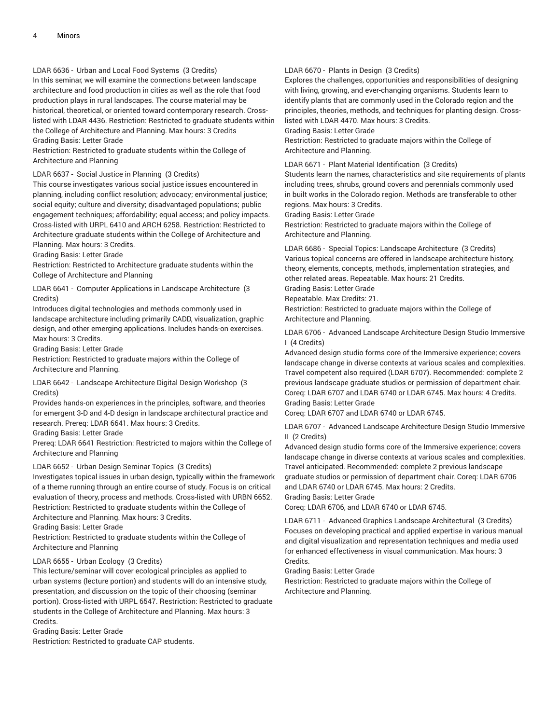LDAR 6636 - Urban and Local Food Systems (3 Credits)

In this seminar, we will examine the connections between landscape architecture and food production in cities as well as the role that food production plays in rural landscapes. The course material may be historical, theoretical, or oriented toward contemporary research. Crosslisted with LDAR 4436. Restriction: Restricted to graduate students within the College of Architecture and Planning. Max hours: 3 Credits

Grading Basis: Letter Grade

Restriction: Restricted to graduate students within the College of Architecture and Planning

# LDAR 6637 - Social Justice in Planning (3 Credits)

This course investigates various social justice issues encountered in planning, including conflict resolution; advocacy; environmental justice; social equity; culture and diversity; disadvantaged populations; public engagement techniques; affordability; equal access; and policy impacts. Cross-listed with URPL 6410 and ARCH 6258. Restriction: Restricted to Architecture graduate students within the College of Architecture and Planning. Max hours: 3 Credits.

Grading Basis: Letter Grade

Restriction: Restricted to Architecture graduate students within the College of Architecture and Planning

LDAR 6641 - Computer Applications in Landscape Architecture (3 Credits)

Introduces digital technologies and methods commonly used in landscape architecture including primarily CADD, visualization, graphic design, and other emerging applications. Includes hands-on exercises. Max hours: 3 Credits.

Grading Basis: Letter Grade

Restriction: Restricted to graduate majors within the College of Architecture and Planning.

LDAR 6642 - Landscape Architecture Digital Design Workshop (3 Credits)

Provides hands-on experiences in the principles, software, and theories for emergent 3-D and 4-D design in landscape architectural practice and research. Prereq: LDAR 6641. Max hours: 3 Credits.

Grading Basis: Letter Grade

Prereq: LDAR 6641 Restriction: Restricted to majors within the College of Architecture and Planning

# LDAR 6652 - Urban Design Seminar Topics (3 Credits)

Investigates topical issues in urban design, typically within the framework of a theme running through an entire course of study. Focus is on critical evaluation of theory, process and methods. Cross-listed with URBN 6652. Restriction: Restricted to graduate students within the College of Architecture and Planning. Max hours: 3 Credits.

Grading Basis: Letter Grade

Restriction: Restricted to graduate students within the College of Architecture and Planning

# LDAR 6655 - Urban Ecology (3 Credits)

This lecture/seminar will cover ecological principles as applied to urban systems (lecture portion) and students will do an intensive study, presentation, and discussion on the topic of their choosing (seminar portion). Cross-listed with URPL 6547. Restriction: Restricted to graduate students in the College of Architecture and Planning. Max hours: 3 Credits.

Grading Basis: Letter Grade

Restriction: Restricted to graduate CAP students.

# LDAR 6670 - Plants in Design (3 Credits)

Explores the challenges, opportunities and responsibilities of designing with living, growing, and ever-changing organisms. Students learn to identify plants that are commonly used in the Colorado region and the principles, theories, methods, and techniques for planting design. Crosslisted with LDAR 4470. Max hours: 3 Credits.

Grading Basis: Letter Grade

Restriction: Restricted to graduate majors within the College of Architecture and Planning.

LDAR 6671 - Plant Material Identification (3 Credits)

Students learn the names, characteristics and site requirements of plants including trees, shrubs, ground covers and perennials commonly used in built works in the Colorado region. Methods are transferable to other regions. Max hours: 3 Credits.

Grading Basis: Letter Grade

Restriction: Restricted to graduate majors within the College of Architecture and Planning.

LDAR 6686 - Special Topics: Landscape Architecture (3 Credits) Various topical concerns are offered in landscape architecture history, theory, elements, concepts, methods, implementation strategies, and other related areas. Repeatable. Max hours: 21 Credits.

Grading Basis: Letter Grade

Repeatable. Max Credits: 21.

Restriction: Restricted to graduate majors within the College of Architecture and Planning.

LDAR 6706 - Advanced Landscape Architecture Design Studio Immersive I (4 Credits)

Advanced design studio forms core of the Immersive experience; covers landscape change in diverse contexts at various scales and complexities. Travel competent also required (LDAR 6707). Recommended: complete 2 previous landscape graduate studios or permission of department chair. Coreq: LDAR 6707 and LDAR 6740 or LDAR 6745. Max hours: 4 Credits. Grading Basis: Letter Grade

Coreq: LDAR 6707 and LDAR 6740 or LDAR 6745.

LDAR 6707 - Advanced Landscape Architecture Design Studio Immersive II (2 Credits)

Advanced design studio forms core of the Immersive experience; covers landscape change in diverse contexts at various scales and complexities. Travel anticipated. Recommended: complete 2 previous landscape graduate studios or permission of department chair. Coreq: LDAR 6706 and LDAR 6740 or LDAR 6745. Max hours: 2 Credits.

Grading Basis: Letter Grade

Coreq: LDAR 6706, and LDAR 6740 or LDAR 6745.

LDAR 6711 - Advanced Graphics Landscape Architectural (3 Credits) Focuses on developing practical and applied expertise in various manual and digital visualization and representation techniques and media used for enhanced effectiveness in visual communication. Max hours: 3 Credits.

Grading Basis: Letter Grade

Restriction: Restricted to graduate majors within the College of Architecture and Planning.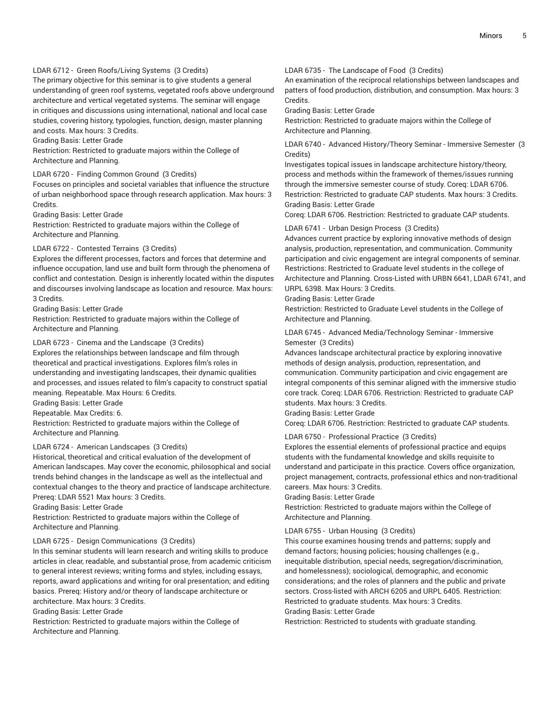# LDAR 6712 - Green Roofs/Living Systems (3 Credits)

The primary objective for this seminar is to give students a general understanding of green roof systems, vegetated roofs above underground architecture and vertical vegetated systems. The seminar will engage in critiques and discussions using international, national and local case studies, covering history, typologies, function, design, master planning and costs. Max hours: 3 Credits.

Grading Basis: Letter Grade

Restriction: Restricted to graduate majors within the College of Architecture and Planning.

# LDAR 6720 - Finding Common Ground (3 Credits)

Focuses on principles and societal variables that influence the structure of urban neighborhood space through research application. Max hours: 3 Credits.

Grading Basis: Letter Grade

Restriction: Restricted to graduate majors within the College of Architecture and Planning.

#### LDAR 6722 - Contested Terrains (3 Credits)

Explores the different processes, factors and forces that determine and influence occupation, land use and built form through the phenomena of conflict and contestation. Design is inherently located within the disputes and discourses involving landscape as location and resource. Max hours: 3 Credits.

Grading Basis: Letter Grade

Restriction: Restricted to graduate majors within the College of Architecture and Planning.

# LDAR 6723 - Cinema and the Landscape (3 Credits)

Explores the relationships between landscape and film through theoretical and practical investigations. Explores film's roles in understanding and investigating landscapes, their dynamic qualities and processes, and issues related to film's capacity to construct spatial meaning. Repeatable. Max Hours: 6 Credits.

Grading Basis: Letter Grade

Repeatable. Max Credits: 6.

Restriction: Restricted to graduate majors within the College of Architecture and Planning.

# LDAR 6724 - American Landscapes (3 Credits)

Historical, theoretical and critical evaluation of the development of American landscapes. May cover the economic, philosophical and social trends behind changes in the landscape as well as the intellectual and contextual changes to the theory and practice of landscape architecture. Prereq: LDAR 5521 Max hours: 3 Credits.

Grading Basis: Letter Grade

Restriction: Restricted to graduate majors within the College of Architecture and Planning.

#### LDAR 6725 - Design Communications (3 Credits)

In this seminar students will learn research and writing skills to produce articles in clear, readable, and substantial prose, from academic criticism to general interest reviews; writing forms and styles, including essays, reports, award applications and writing for oral presentation; and editing basics. Prereq: History and/or theory of landscape architecture or architecture. Max hours: 3 Credits.

Grading Basis: Letter Grade

Restriction: Restricted to graduate majors within the College of Architecture and Planning.

LDAR 6735 - The Landscape of Food (3 Credits)

An examination of the reciprocal relationships between landscapes and patters of food production, distribution, and consumption. Max hours: 3 Credits.

Grading Basis: Letter Grade

Restriction: Restricted to graduate majors within the College of Architecture and Planning.

LDAR 6740 - Advanced History/Theory Seminar - Immersive Semester (3 Credits)

Investigates topical issues in landscape architecture history/theory, process and methods within the framework of themes/issues running through the immersive semester course of study. Coreq: LDAR 6706. Restriction: Restricted to graduate CAP students. Max hours: 3 Credits. Grading Basis: Letter Grade

Coreq: LDAR 6706. Restriction: Restricted to graduate CAP students.

LDAR 6741 - Urban Design Process (3 Credits)

Advances current practice by exploring innovative methods of design analysis, production, representation, and communication. Community participation and civic engagement are integral components of seminar. Restrictions: Restricted to Graduate level students in the college of Architecture and Planning. Cross-Listed with URBN 6641, LDAR 6741, and URPL 6398. Max Hours: 3 Credits.

Grading Basis: Letter Grade

Restriction: Restricted to Graduate Level students in the College of Architecture and Planning.

LDAR 6745 - Advanced Media/Technology Seminar - Immersive Semester (3 Credits)

Advances landscape architectural practice by exploring innovative methods of design analysis, production, representation, and communication. Community participation and civic engagement are integral components of this seminar aligned with the immersive studio core track. Coreq: LDAR 6706. Restriction: Restricted to graduate CAP students. Max hours: 3 Credits.

Grading Basis: Letter Grade

Coreq: LDAR 6706. Restriction: Restricted to graduate CAP students.

# LDAR 6750 - Professional Practice (3 Credits)

Explores the essential elements of professional practice and equips students with the fundamental knowledge and skills requisite to understand and participate in this practice. Covers office organization, project management, contracts, professional ethics and non-traditional careers. Max hours: 3 Credits.

# Grading Basis: Letter Grade

Restriction: Restricted to graduate majors within the College of Architecture and Planning.

# LDAR 6755 - Urban Housing (3 Credits)

This course examines housing trends and patterns; supply and demand factors; housing policies; housing challenges (e.g., inequitable distribution, special needs, segregation/discrimination, and homelessness); sociological, demographic, and economic considerations; and the roles of planners and the public and private sectors. Cross-listed with ARCH 6205 and URPL 6405. Restriction: Restricted to graduate students. Max hours: 3 Credits. Grading Basis: Letter Grade

Restriction: Restricted to students with graduate standing.